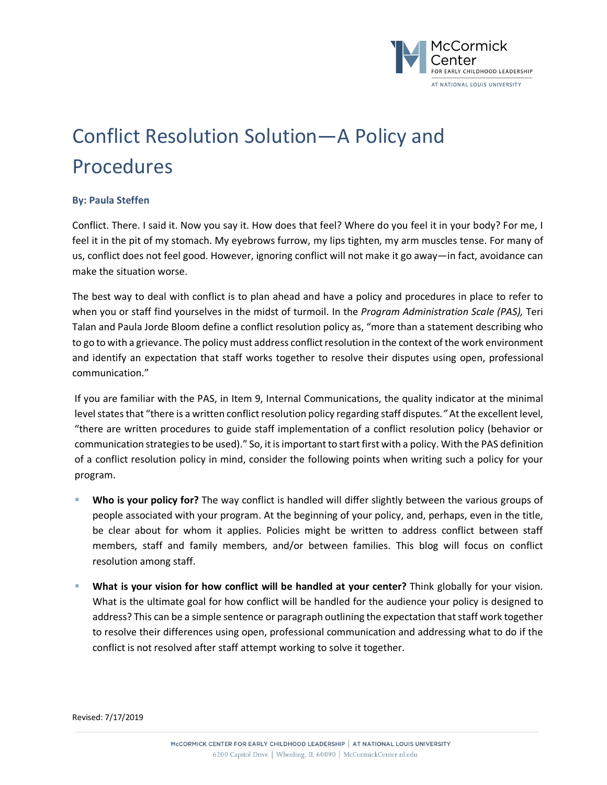

## Conflict Resolution Solution—A Policy and Procedures

## **By: Paula Steffen**

Conflict. There. I said it. Now you say it. How does that feel? Where do you feel it in your body? For me, I feel it in the pit of my stomach. My eyebrows furrow, my lips tighten, my arm muscles tense. For many of us, conflict does not feel good. However, ignoring conflict will not make it go away—in fact, avoidance can make the situation worse.

The best way to deal with conflict is to plan ahead and have a policy and procedures in place to refer to when you or staff find yourselves in the midst of turmoil. In the *Program Administration Scale (PAS),* Teri Talan and Paula Jorde Bloom define a conflict resolution policy as, "more than a statement describing who to go to with a grievance. The policy must address conflict resolution in the context of the work environment and identify an expectation that staff works together to resolve their disputes using open, professional communication."

If you are familiar with the PAS, in Item 9, Internal Communications, the quality indicator at the minimal level states that "there is a written conflict resolution policy regarding staff disputes." At the excellent level, "there are written procedures to guide staff implementation of a conflict resolution policy (behavior or communication strategies to be used)." So, itis important to start first with a policy. With the PAS definition of a conflict resolution policy in mind, consider the following points when writing such a policy for your program.

- § **Who is your policy for?** The way conflict is handled will differ slightly between the various groups of people associated with your program. At the beginning of your policy, and, perhaps, even in the title, be clear about for whom it applies. Policies might be written to address conflict between staff members, staff and family members, and/or between families. This blog will focus on conflict resolution among staff.
- § **What is your vision for how conflict will be handled at your center?** Think globally for your vision. What is the ultimate goal for how conflict will be handled for the audience your policy is designed to address? This can be a simple sentence or paragraph outlining the expectation that staff work together to resolve their differences using open, professional communication and addressing what to do if the conflict is not resolved after staff attempt working to solve it together.

Revised: 7/17/2019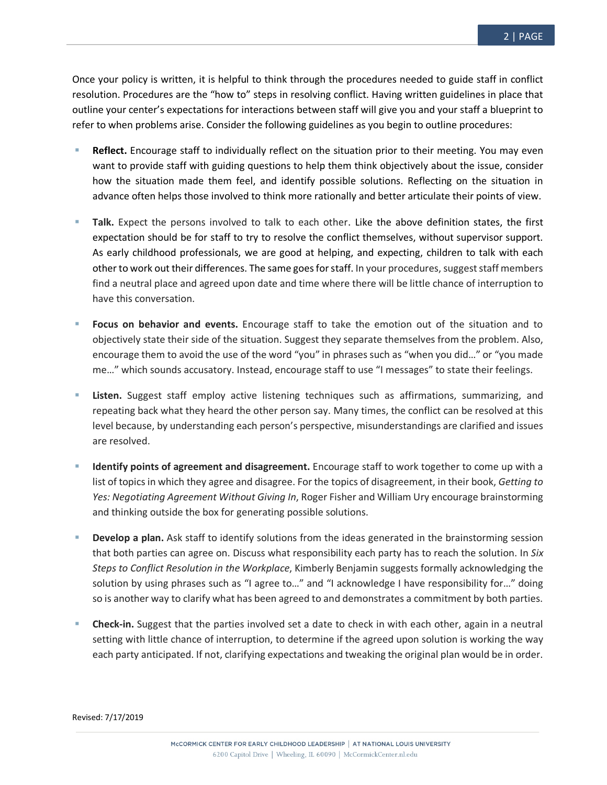Once your policy is written, it is helpful to think through the procedures needed to guide staff in conflict resolution. Procedures are the "how to" steps in resolving conflict. Having written guidelines in place that outline your center's expectations for interactions between staff will give you and your staff a blueprint to refer to when problems arise. Consider the following guidelines as you begin to outline procedures:

- **Reflect.** Encourage staff to individually reflect on the situation prior to their meeting. You may even want to provide staff with guiding questions to help them think objectively about the issue, consider how the situation made them feel, and identify possible solutions. Reflecting on the situation in advance often helps those involved to think more rationally and better articulate their points of view.
- Talk. Expect the persons involved to talk to each other. Like the above definition states, the first expectation should be for staff to try to resolve the conflict themselves, without supervisor support. As early childhood professionals, we are good at helping, and expecting, children to talk with each other to work out their differences. The same goes for staff. In your procedures, suggest staff members find a neutral place and agreed upon date and time where there will be little chance of interruption to have this conversation.
- § **Focus on behavior and events.** Encourage staff to take the emotion out of the situation and to objectively state their side of the situation. Suggest they separate themselves from the problem. Also, encourage them to avoid the use of the word "you" in phrases such as "when you did…" or "you made me…" which sounds accusatory. Instead, encourage staff to use "I messages" to state their feelings.
- **Example 1** Listen. Suggest staff employ active listening techniques such as affirmations, summarizing, and repeating back what they heard the other person say. Many times, the conflict can be resolved at this level because, by understanding each person's perspective, misunderstandings are clarified and issues are resolved.
- § **Identify points of agreement and disagreement.** Encourage staff to work together to come up with a list of topics in which they agree and disagree. For the topics of disagreement, in their book, *Getting to Yes: Negotiating Agreement Without Giving In*, Roger Fisher and William Ury encourage brainstorming and thinking outside the box for generating possible solutions.
- **Develop a plan.** Ask staff to identify solutions from the ideas generated in the brainstorming session that both parties can agree on. Discuss what responsibility each party has to reach the solution. In *Six Steps to Conflict Resolution in the Workplace*, Kimberly Benjamin suggests formally acknowledging the solution by using phrases such as "I agree to…" and "I acknowledge I have responsibility for…" doing so is another way to clarify what has been agreed to and demonstrates a commitment by both parties.
- § **Check-in.** Suggest that the parties involved set a date to check in with each other, again in a neutral setting with little chance of interruption, to determine if the agreed upon solution is working the way each party anticipated. If not, clarifying expectations and tweaking the original plan would be in order.

Revised: 7/17/2019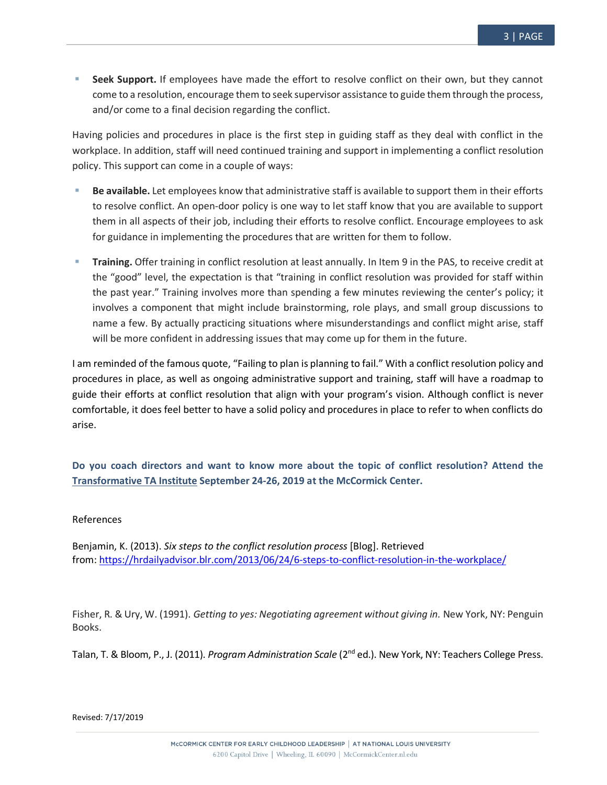Seek Support. If employees have made the effort to resolve conflict on their own, but they cannot come to a resolution, encourage them to seek supervisor assistance to guide them through the process, and/or come to a final decision regarding the conflict.

Having policies and procedures in place is the first step in guiding staff as they deal with conflict in the workplace. In addition, staff will need continued training and support in implementing a conflict resolution policy. This support can come in a couple of ways:

- § **Be available.** Let employees know that administrative staff is available to support them in their efforts to resolve conflict. An open-door policy is one way to let staff know that you are available to support them in all aspects of their job, including their efforts to resolve conflict. Encourage employees to ask for guidance in implementing the procedures that are written for them to follow.
- § **Training.** Offer training in conflict resolution at least annually. In Item 9 in the PAS, to receive credit at the "good" level, the expectation is that "training in conflict resolution was provided for staff within the past year." Training involves more than spending a few minutes reviewing the center's policy; it involves a component that might include brainstorming, role plays, and small group discussions to name a few. By actually practicing situations where misunderstandings and conflict might arise, staff will be more confident in addressing issues that may come up for them in the future.

I am reminded of the famous quote, "Failing to plan is planning to fail." With a conflict resolution policy and procedures in place, as well as ongoing administrative support and training, staff will have a roadmap to guide their efforts at conflict resolution that align with your program's vision. Although conflict is never comfortable, it does feel better to have a solid policy and procedures in place to refer to when conflicts do arise.

**Do you coach directors and want to know more about the topic of conflict resolution? Attend the Transformative TA Institute September 24-26, 2019 at the McCormick Center.**

## References

Benjamin, K. (2013). *Six steps to the conflict resolution process* [Blog]. Retrieved from: https://hrdailyadvisor.blr.com/2013/06/24/6-steps-to-conflict-resolution-in-the-workplace/

Fisher, R. & Ury, W. (1991). *Getting to yes: Negotiating agreement without giving in.* New York, NY: Penguin Books.

Talan, T. & Bloom, P., J. (2011). *Program Administration Scale* (2nd ed.). New York, NY: Teachers College Press.